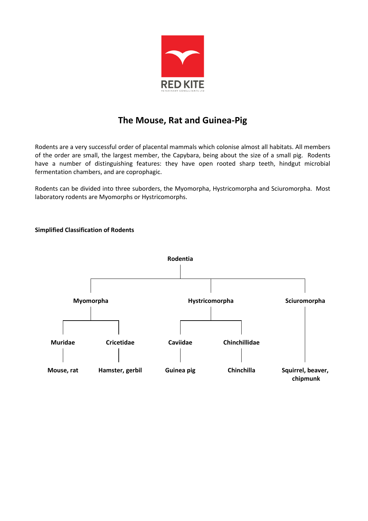

# The Mouse, Rat and Guinea-Pig

Rodents are a very successful order of placental mammals which colonise almost all habitats. All members of the order are small, the largest member, the Capybara, being about the size of a small pig. Rodents have a number of distinguishing features: they have open rooted sharp teeth, hindgut microbial fermentation chambers, and are coprophagic.

Rodents can be divided into three suborders, the Myomorpha, Hystricomorpha and Sciuromorpha. Most laboratory rodents are Myomorphs or Hystricomorphs.

#### Simplified Classification of Rodents

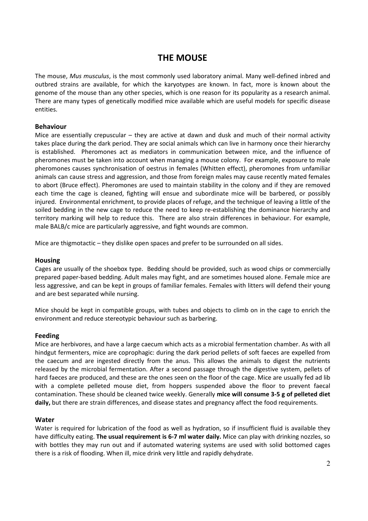## THE MOUSE

The mouse, Mus musculus, is the most commonly used laboratory animal. Many well-defined inbred and outbred strains are available, for which the karyotypes are known. In fact, more is known about the genome of the mouse than any other species, which is one reason for its popularity as a research animal. There are many types of genetically modified mice available which are useful models for specific disease entities.

#### Behaviour

Mice are essentially crepuscular – they are active at dawn and dusk and much of their normal activity takes place during the dark period. They are social animals which can live in harmony once their hierarchy is established. Pheromones act as mediators in communication between mice, and the influence of pheromones must be taken into account when managing a mouse colony. For example, exposure to male pheromones causes synchronisation of oestrus in females (Whitten effect), pheromones from unfamiliar animals can cause stress and aggression, and those from foreign males may cause recently mated females to abort (Bruce effect). Pheromones are used to maintain stability in the colony and if they are removed each time the cage is cleaned, fighting will ensue and subordinate mice will be barbered, or possibly injured. Environmental enrichment, to provide places of refuge, and the technique of leaving a little of the soiled bedding in the new cage to reduce the need to keep re-establishing the dominance hierarchy and territory marking will help to reduce this. There are also strain differences in behaviour. For example, male BALB/c mice are particularly aggressive, and fight wounds are common.

Mice are thigmotactic – they dislike open spaces and prefer to be surrounded on all sides.

#### Housing

Cages are usually of the shoebox type. Bedding should be provided, such as wood chips or commercially prepared paper-based bedding. Adult males may fight, and are sometimes housed alone. Female mice are less aggressive, and can be kept in groups of familiar females. Females with litters will defend their young and are best separated while nursing.

Mice should be kept in compatible groups, with tubes and objects to climb on in the cage to enrich the environment and reduce stereotypic behaviour such as barbering.

#### Feeding

Mice are herbivores, and have a large caecum which acts as a microbial fermentation chamber. As with all hindgut fermenters, mice are coprophagic: during the dark period pellets of soft faeces are expelled from the caecum and are ingested directly from the anus. This allows the animals to digest the nutrients released by the microbial fermentation. After a second passage through the digestive system, pellets of hard faeces are produced, and these are the ones seen on the floor of the cage. Mice are usually fed ad lib with a complete pelleted mouse diet, from hoppers suspended above the floor to prevent faecal contamination. These should be cleaned twice weekly. Generally mice will consume 3-5 g of pelleted diet daily, but there are strain differences, and disease states and pregnancy affect the food requirements.

#### Water

Water is required for lubrication of the food as well as hydration, so if insufficient fluid is available they have difficulty eating. The usual requirement is 6-7 ml water daily. Mice can play with drinking nozzles, so with bottles they may run out and if automated watering systems are used with solid bottomed cages there is a risk of flooding. When ill, mice drink very little and rapidly dehydrate.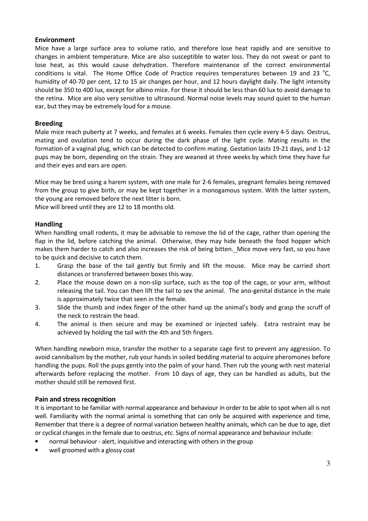#### Environment

Mice have a large surface area to volume ratio, and therefore lose heat rapidly and are sensitive to changes in ambient temperature. Mice are also susceptible to water loss. They do not sweat or pant to lose heat, as this would cause dehydration. Therefore maintenance of the correct environmental conditions is vital. The Home Office Code of Practice requires temperatures between 19 and 23  $^{\circ}$ C, humidity of 40-70 per cent, 12 to 15 air changes per hour, and 12 hours daylight daily. The light intensity should be 350 to 400 lux, except for albino mice. For these it should be less than 60 lux to avoid damage to the retina. Mice are also very sensitive to ultrasound. Normal noise levels may sound quiet to the human ear, but they may be extremely loud for a mouse.

#### Breeding

Male mice reach puberty at 7 weeks, and females at 6 weeks. Females then cycle every 4-5 days. Oestrus, mating and ovulation tend to occur during the dark phase of the light cycle. Mating results in the formation of a vaginal plug, which can be detected to confirm mating. Gestation lasts 19-21 days, and 1-12 pups may be born, depending on the strain. They are weaned at three weeks by which time they have fur and their eyes and ears are open.

Mice may be bred using a harem system, with one male for 2-6 females, pregnant females being removed from the group to give birth, or may be kept together in a monogamous system. With the latter system, the young are removed before the next litter is born.

Mice will breed until they are 12 to 18 months old.

#### Handling

When handling small rodents, it may be advisable to remove the lid of the cage, rather than opening the flap in the lid, before catching the animal. Otherwise, they may hide beneath the food hopper which makes them harder to catch and also increases the risk of being bitten. Mice move very fast, so you have to be quick and decisive to catch them.

- 1. Grasp the base of the tail gently but firmly and lift the mouse. Mice may be carried short distances or transferred between boxes this way.
- 2. Place the mouse down on a non-slip surface, such as the top of the cage, or your arm, without releasing the tail. You can then lift the tail to sex the animal. The ano-genital distance in the male is approximately twice that seen in the female.
- 3. Slide the thumb and index finger of the other hand up the animal's body and grasp the scruff of the neck to restrain the head.
- 4. The animal is then secure and may be examined or injected safely. Extra restraint may be achieved by holding the tail with the 4th and 5th fingers.

When handling newborn mice, transfer the mother to a separate cage first to prevent any aggression. To avoid cannibalism by the mother, rub your hands in soiled bedding material to acquire pheromones before handling the pups. Roll the pups gently into the palm of your hand. Then rub the young with nest material afterwards before replacing the mother. From 10 days of age, they can be handled as adults, but the mother should still be removed first.

#### Pain and stress recognition

It is important to be familiar with normal appearance and behaviour in order to be able to spot when all is not well. Familiarity with the normal animal is something that can only be acquired with experience and time, Remember that there is a degree of normal variation between healthy animals, which can be due to age, diet or cyclical changes in the female due to oestrus, etc. Signs of normal appearance and behaviour include:

- normal behaviour alert, inquisitive and interacting with others in the group
- well groomed with a glossy coat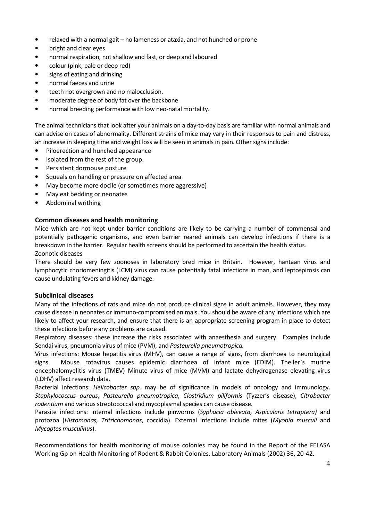- relaxed with a normal gait no lameness or ataxia, and not hunched or prone
- bright and clear eyes
- normal respiration, not shallow and fast, or deep and laboured
- colour (pink, pale or deep red)
- signs of eating and drinking
- normal faeces and urine
- teeth not overgrown and no malocclusion.
- moderate degree of body fat over the backbone
- normal breeding performance with low neo-natal mortality.

The animal technicians that look after your animals on a day-to-day basis are familiar with normal animals and can advise on cases of abnormality. Different strains of mice may vary in their responses to pain and distress, an increase in sleeping time and weight loss will be seen in animals in pain. Other signs include:

- Piloerection and hunched appearance
- Isolated from the rest of the group.
- Persistent dormouse posture
- Squeals on handling or pressure on affected area
- May become more docile (or sometimes more aggressive)
- May eat bedding or neonates
- Abdominal writhing

#### Common diseases and health monitoring

Mice which are not kept under barrier conditions are likely to be carrying a number of commensal and potentially pathogenic organisms, and even barrier reared animals can develop infections if there is a breakdown in the barrier. Regular health screens should be performed to ascertain the health status. Zoonotic diseases

There should be very few zoonoses in laboratory bred mice in Britain. However, hantaan virus and lymphocytic choriomeningitis (LCM) virus can cause potentially fatal infections in man, and leptospirosis can cause undulating fevers and kidney damage.

#### Subclinical diseases

Many of the infections of rats and mice do not produce clinical signs in adult animals. However, they may cause disease in neonates or immuno-compromised animals. You should be aware of any infections which are likely to affect your research, and ensure that there is an appropriate screening program in place to detect these infections before any problems are caused.

Respiratory diseases: these increase the risks associated with anaesthesia and surgery. Examples include Sendai virus, pneumonia virus of mice (PVM), and Pasteurella pneumotropica.

Virus infections: Mouse hepatitis virus (MHV), can cause a range of signs, from diarrhoea to neurological signs. Mouse rotavirus causes epidemic diarrhoea of infant mice (EDIM). Theiler`s murine encephalomyelitis virus (TMEV) Minute virus of mice (MVM) and lactate dehydrogenase elevating virus (LDHV) affect research data.

Bacterial infections: *Helicobacter spp.* may be of significance in models of oncology and immunology. Staphylococcus aureus, Pasteurella pneumotropica, Clostridium piliformis (Tyzzer's disease), Citrobacter rodentium and various streptococcal and mycoplasmal species can cause disease.

Parasite infections: internal infections include pinworms (Syphacia oblevata, Aspicularis tetraptera) and protozoa (Histomonas, Tritrichomonas, coccidia). External infections include mites (Myobia musculi and Mycoptes musculinus).

Recommendations for health monitoring of mouse colonies may be found in the Report of the FELASA Working Gp on Health Monitoring of Rodent & Rabbit Colonies. Laboratory Animals (2002) 36, 20-42.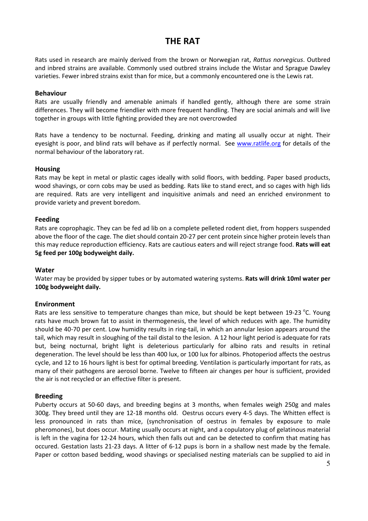## THE RAT

Rats used in research are mainly derived from the brown or Norwegian rat, Rattus norvegicus. Outbred and inbred strains are available. Commonly used outbred strains include the Wistar and Sprague Dawley varieties. Fewer inbred strains exist than for mice, but a commonly encountered one is the Lewis rat.

#### Behaviour

Rats are usually friendly and amenable animals if handled gently, although there are some strain differences. They will become friendlier with more frequent handling. They are social animals and will live together in groups with little fighting provided they are not overcrowded

Rats have a tendency to be nocturnal. Feeding, drinking and mating all usually occur at night. Their eyesight is poor, and blind rats will behave as if perfectly normal. See www.ratlife.org for details of the normal behaviour of the laboratory rat.

#### Housing

Rats may be kept in metal or plastic cages ideally with solid floors, with bedding. Paper based products, wood shavings, or corn cobs may be used as bedding. Rats like to stand erect, and so cages with high lids are required. Rats are very intelligent and inquisitive animals and need an enriched environment to provide variety and prevent boredom.

#### Feeding

Rats are coprophagic. They can be fed ad lib on a complete pelleted rodent diet, from hoppers suspended above the floor of the cage. The diet should contain 20-27 per cent protein since higher protein levels than this may reduce reproduction efficiency. Rats are cautious eaters and will reject strange food. Rats will eat 5g feed per 100g bodyweight daily.

#### Water

Water may be provided by sipper tubes or by automated watering systems. Rats will drink 10ml water per 100g bodyweight daily.

#### Environment

Rats are less sensitive to temperature changes than mice, but should be kept between 19-23 °C. Young rats have much brown fat to assist in thermogenesis, the level of which reduces with age. The humidity should be 40-70 per cent. Low humidity results in ring-tail, in which an annular lesion appears around the tail, which may result in sloughing of the tail distal to the lesion. A 12 hour light period is adequate for rats but, being nocturnal, bright light is deleterious particularly for albino rats and results in retinal degeneration. The level should be less than 400 lux, or 100 lux for albinos. Photoperiod affects the oestrus cycle, and 12 to 16 hours light is best for optimal breeding. Ventilation is particularly important for rats, as many of their pathogens are aerosol borne. Twelve to fifteen air changes per hour is sufficient, provided the air is not recycled or an effective filter is present.

#### Breeding

Puberty occurs at 50-60 days, and breeding begins at 3 months, when females weigh 250g and males 300g. They breed until they are 12-18 months old. Oestrus occurs every 4-5 days. The Whitten effect is less pronounced in rats than mice, (synchronisation of oestrus in females by exposure to male pheromones), but does occur. Mating usually occurs at night, and a copulatory plug of gelatinous material is left in the vagina for 12-24 hours, which then falls out and can be detected to confirm that mating has occured. Gestation lasts 21-23 days. A litter of 6-12 pups is born in a shallow nest made by the female. Paper or cotton based bedding, wood shavings or specialised nesting materials can be supplied to aid in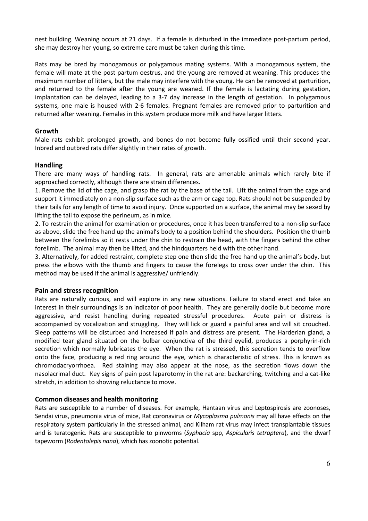nest building. Weaning occurs at 21 days. If a female is disturbed in the immediate post-partum period, she may destroy her young, so extreme care must be taken during this time.

Rats may be bred by monogamous or polygamous mating systems. With a monogamous system, the female will mate at the post partum oestrus, and the young are removed at weaning. This produces the maximum number of litters, but the male may interfere with the young. He can be removed at parturition, and returned to the female after the young are weaned. If the female is lactating during gestation, implantation can be delayed, leading to a 3-7 day increase in the length of gestation. In polygamous systems, one male is housed with 2-6 females. Pregnant females are removed prior to parturition and returned after weaning. Females in this system produce more milk and have larger litters.

#### Growth

Male rats exhibit prolonged growth, and bones do not become fully ossified until their second year. Inbred and outbred rats differ slightly in their rates of growth.

#### Handling

There are many ways of handling rats. In general, rats are amenable animals which rarely bite if approached correctly, although there are strain differences.

1. Remove the lid of the cage, and grasp the rat by the base of the tail. Lift the animal from the cage and support it immediately on a non-slip surface such as the arm or cage top. Rats should not be suspended by their tails for any length of time to avoid injury. Once supported on a surface, the animal may be sexed by lifting the tail to expose the perineum, as in mice.

2. To restrain the animal for examination or procedures, once it has been transferred to a non-slip surface as above, slide the free hand up the animal's body to a position behind the shoulders. Position the thumb between the forelimbs so it rests under the chin to restrain the head, with the fingers behind the other forelimb. The animal may then be lifted, and the hindquarters held with the other hand.

3. Alternatively, for added restraint, complete step one then slide the free hand up the animal's body, but press the elbows with the thumb and fingers to cause the forelegs to cross over under the chin. This method may be used if the animal is aggressive/ unfriendly.

#### Pain and stress recognition

Rats are naturally curious, and will explore in any new situations. Failure to stand erect and take an interest in their surroundings is an indicator of poor health. They are generally docile but become more aggressive, and resist handling during repeated stressful procedures. Acute pain or distress is accompanied by vocalization and struggling. They will lick or guard a painful area and will sit crouched. Sleep patterns will be disturbed and increased if pain and distress are present. The Harderian gland, a modified tear gland situated on the bulbar conjunctiva of the third eyelid, produces a porphyrin-rich secretion which normally lubricates the eye. When the rat is stressed, this secretion tends to overflow onto the face, producing a red ring around the eye, which is characteristic of stress. This is known as chromodacryorrhoea. Red staining may also appear at the nose, as the secretion flows down the nasolacrimal duct. Key signs of pain post laparotomy in the rat are: backarching, twitching and a cat-like stretch, in addition to showing reluctance to move.

#### Common diseases and health monitoring

Rats are susceptible to a number of diseases. For example, Hantaan virus and Leptospirosis are zoonoses, Sendai virus, pneumonia virus of mice, Rat coronavirus or Mycoplasma pulmonis may all have effects on the respiratory system particularly in the stressed animal, and Kilham rat virus may infect transplantable tissues and is teratogenic. Rats are susceptible to pinworms (Syphacia spp, Aspicularis tetraptera), and the dwarf tapeworm (Rodentolepis nana), which has zoonotic potential.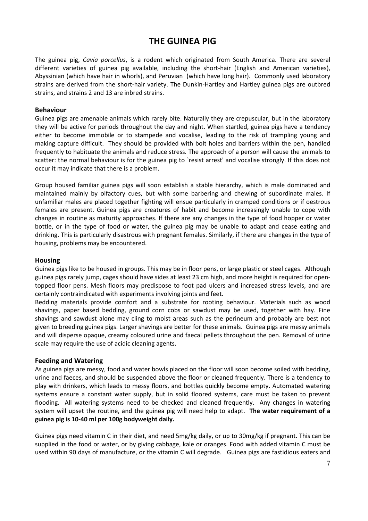## THE GUINEA PIG

The guinea pig, Cavia porcellus, is a rodent which originated from South America. There are several different varieties of guinea pig available, including the short-hair (English and American varieties), Abyssinian (which have hair in whorls), and Peruvian (which have long hair). Commonly used laboratory strains are derived from the short-hair variety. The Dunkin-Hartley and Hartley guinea pigs are outbred strains, and strains 2 and 13 are inbred strains.

#### Behaviour

Guinea pigs are amenable animals which rarely bite. Naturally they are crepuscular, but in the laboratory they will be active for periods throughout the day and night. When startled, guinea pigs have a tendency either to become immobile or to stampede and vocalise, leading to the risk of trampling young and making capture difficult. They should be provided with bolt holes and barriers within the pen, handled frequently to habituate the animals and reduce stress. The approach of a person will cause the animals to scatter: the normal behaviour is for the guinea pig to `resist arrest' and vocalise strongly. If this does not occur it may indicate that there is a problem.

Group housed familiar guinea pigs will soon establish a stable hierarchy, which is male dominated and maintained mainly by olfactory cues, but with some barbering and chewing of subordinate males. If unfamiliar males are placed together fighting will ensue particularly in cramped conditions or if oestrous females are present. Guinea pigs are creatures of habit and become increasingly unable to cope with changes in routine as maturity approaches. If there are any changes in the type of food hopper or water bottle, or in the type of food or water, the guinea pig may be unable to adapt and cease eating and drinking. This is particularly disastrous with pregnant females. Similarly, if there are changes in the type of housing, problems may be encountered.

#### Housing

Guinea pigs like to be housed in groups. This may be in floor pens, or large plastic or steel cages. Although guinea pigs rarely jump, cages should have sides at least 23 cm high, and more height is required for opentopped floor pens. Mesh floors may predispose to foot pad ulcers and increased stress levels, and are certainly contraindicated with experiments involving joints and feet.

Bedding materials provide comfort and a substrate for rooting behaviour. Materials such as wood shavings, paper based bedding, ground corn cobs or sawdust may be used, together with hay. Fine shavings and sawdust alone may cling to moist areas such as the perineum and probably are best not given to breeding guinea pigs. Larger shavings are better for these animals. Guinea pigs are messy animals and will disperse opaque, creamy coloured urine and faecal pellets throughout the pen. Removal of urine scale may require the use of acidic cleaning agents.

#### Feeding and Watering

As guinea pigs are messy, food and water bowls placed on the floor will soon become soiled with bedding, urine and faeces, and should be suspended above the floor or cleaned frequently. There is a tendency to play with drinkers, which leads to messy floors, and bottles quickly become empty. Automated watering systems ensure a constant water supply, but in solid floored systems, care must be taken to prevent flooding. All watering systems need to be checked and cleaned frequently. Any changes in watering system will upset the routine, and the guinea pig will need help to adapt. The water requirement of a guinea pig is 10-40 ml per 100g bodyweight daily.

Guinea pigs need vitamin C in their diet, and need 5mg/kg daily, or up to 30mg/kg if pregnant. This can be supplied in the food or water, or by giving cabbage, kale or oranges. Food with added vitamin C must be used within 90 days of manufacture, or the vitamin C will degrade. Guinea pigs are fastidious eaters and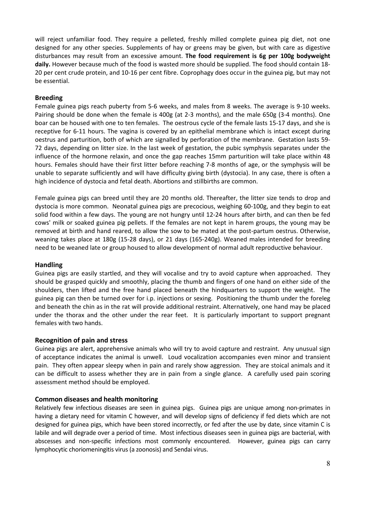will reject unfamiliar food. They require a pelleted, freshly milled complete guinea pig diet, not one designed for any other species. Supplements of hay or greens may be given, but with care as digestive disturbances may result from an excessive amount. The food requirement is 6g per 100g bodyweight daily. However because much of the food is wasted more should be supplied. The food should contain 18-20 per cent crude protein, and 10-16 per cent fibre. Coprophagy does occur in the guinea pig, but may not be essential.

#### Breeding

Female guinea pigs reach puberty from 5-6 weeks, and males from 8 weeks. The average is 9-10 weeks. Pairing should be done when the female is 400g (at 2-3 months), and the male 650g (3-4 months). One boar can be housed with one to ten females. The oestrous cycle of the female lasts 15-17 days, and she is receptive for 6-11 hours. The vagina is covered by an epithelial membrane which is intact except during oestrus and parturition, both of which are signalled by perforation of the membrane. Gestation lasts 59- 72 days, depending on litter size. In the last week of gestation, the pubic symphysis separates under the influence of the hormone relaxin, and once the gap reaches 15mm parturition will take place within 48 hours. Females should have their first litter before reaching 7-8 months of age, or the symphysis will be unable to separate sufficiently and will have difficulty giving birth (dystocia). In any case, there is often a high incidence of dystocia and fetal death. Abortions and stillbirths are common.

Female guinea pigs can breed until they are 20 months old. Thereafter, the litter size tends to drop and dystocia is more common. Neonatal guinea pigs are precocious, weighing 60-100g, and they begin to eat solid food within a few days. The young are not hungry until 12-24 hours after birth, and can then be fed cows' milk or soaked guinea pig pellets. If the females are not kept in harem groups, the young may be removed at birth and hand reared, to allow the sow to be mated at the post-partum oestrus. Otherwise, weaning takes place at 180g (15-28 days), or 21 days (165-240g). Weaned males intended for breeding need to be weaned late or group housed to allow development of normal adult reproductive behaviour.

#### Handling

Guinea pigs are easily startled, and they will vocalise and try to avoid capture when approached. They should be grasped quickly and smoothly, placing the thumb and fingers of one hand on either side of the shoulders, then lifted and the free hand placed beneath the hindquarters to support the weight. The guinea pig can then be turned over for i.p. injections or sexing. Positioning the thumb under the foreleg and beneath the chin as in the rat will provide additional restraint. Alternatively, one hand may be placed under the thorax and the other under the rear feet. It is particularly important to support pregnant females with two hands.

#### Recognition of pain and stress

Guinea pigs are alert, apprehensive animals who will try to avoid capture and restraint. Any unusual sign of acceptance indicates the animal is unwell. Loud vocalization accompanies even minor and transient pain. They often appear sleepy when in pain and rarely show aggression. They are stoical animals and it can be difficult to assess whether they are in pain from a single glance. A carefully used pain scoring assessment method should be employed.

#### Common diseases and health monitoring

Relatively few infectious diseases are seen in guinea pigs. Guinea pigs are unique among non-primates in having a dietary need for vitamin C however, and will develop signs of deficiency if fed diets which are not designed for guinea pigs, which have been stored incorrectly, or fed after the use by date, since vitamin C is labile and will degrade over a period of time. Most infectious diseases seen in guinea pigs are bacterial, with abscesses and non-specific infections most commonly encountered. However, guinea pigs can carry lymphocytic choriomeningitis virus (a zoonosis) and Sendai virus.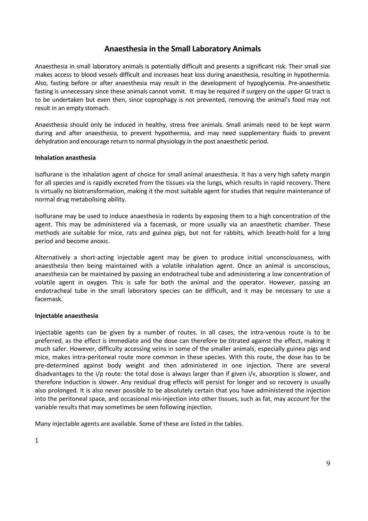## Anaesthesia in the Small Laboratory Animals

Anaesthesia in small laboratory animals is potentially difficult and presents a significant risk. Their small size makes access to blood vessels difficult and increases heat loss during anaesthesia, resulting in hypothermia. Also, fasting before or after anaesthesia may result in the development of hypoglycemia. Pre-anaesthetic fasting is unnecessary since these animals cannot vomit. It may be required if surgery on the upper GI tract is to be undertaken but even then, since coprophagy is not prevented, removing the animal's food may not result in an empty stomach.

Anaesthesia should only be induced in healthy, stress free animals. Small animals need to be kept warm during and after anaesthesia, to prevent hypothermia, and may need supplementary fluids to prevent dehydration and encourage return to normal physiology in the post anaesthetic period.

#### Inhalation anasthesia

Isoflurane is the inhalation agent of choice for small animal anaesthesia. It has a very high safety margin for all species and is rapidly excreted from the tissues via the lungs, which results in rapid recovery. There is virtually no biotransformation, making it the most suitable agent for studies that require maintenance of normal drug metabolising ability.

Isoflurane may be used to induce anaesthesia in rodents by exposing them to a high concentration of the agent. This may be administered via a facemask, or more usually via an anaesthetic chamber. These methods are suitable for mice, rats and guinea pigs, but not for rabbits, which breath-hold for a long period and become anoxic.

Alternatively a short-acting injectable agent may be given to produce initial unconsciousness, with anaesthesia then being maintained with a volatile inhalation agent. Once an animal is unconscious, anaesthesia can be maintained by passing an endotracheal tube and administering a low concentration of volatile agent in oxygen. This is safe for both the animal and the operator. However, passing an endotracheal tube in the small laboratory species can be difficult, and it may be necessary to use a facemask.

#### Injectable anaesthesia

Injectable agents can be given by a number of routes. In all cases, the intra-venous route is to be preferred, as the effect is immediate and the dose can therefore be titrated against the effect, making it much safer. However, difficulty accessing veins in some of the smaller animals, especially guinea pigs and mice, makes intra-peritoneal route more common in these species. With this route, the dose has to be pre-determined against body weight and then administered in one injection. There are several disadvantages to the i/p route: the total dose is always larger than if given i/v, absorption is slower, and therefore induction is slower. Any residual drug effects will persist for longer and so recovery is usually also prolonged. It is also never possible to be absolutely certain that you have administered the injection into the peritoneal space, and occasional mis-injection into other tissues, such as fat, may account for the variable results that may sometimes be seen following injection.

Many injectable agents are available. Some of these are listed in the tables.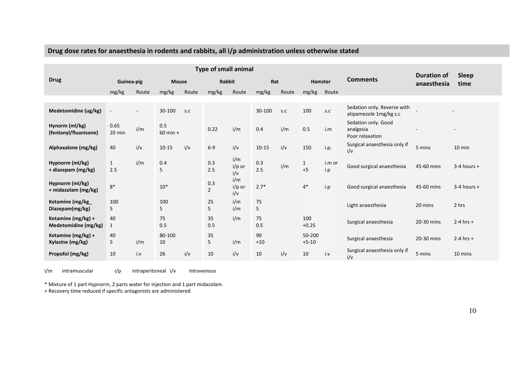|                                                | <b>Type of small animal</b> |       |              |       |                       |                      |             |       |                      |        |                                                       |                                   |                      |
|------------------------------------------------|-----------------------------|-------|--------------|-------|-----------------------|----------------------|-------------|-------|----------------------|--------|-------------------------------------------------------|-----------------------------------|----------------------|
| <b>Drug</b>                                    | <b>Guinea-pig</b>           |       | <b>Mouse</b> |       | <b>Rabbit</b>         |                      | Rat         |       | Hamster              |        | <b>Comments</b>                                       | <b>Duration of</b><br>anaesthesia | <b>Sleep</b><br>time |
|                                                | mg/kg                       | Route | mg/kg        | Route | mg/kg                 | Route                | mg/kg       | Route | mg/kg                | Route  |                                                       |                                   |                      |
|                                                |                             |       |              |       |                       |                      |             |       |                      |        |                                                       |                                   |                      |
| Medetomidine (ug/kg)                           | $\overline{\phantom{a}}$    |       | 30-100       | S.C   |                       |                      | 30-100      | s.c   | 100                  | s.c    | Sedation only. Reverse with<br>atipamezole 1mg/kg s.c |                                   |                      |
| Hynorm (ml/kg)                                 | 0.65                        |       | 0.5          |       |                       |                      |             |       |                      |        | Sedation only. Good                                   |                                   |                      |
| (fentanyl/fluanisone)                          | $20$ min                    | i/m   | $60$ min +   |       | 0.22                  | i/m                  | 0.4         | i/m   | 0.5                  | i.m    | analgesia<br>Poor relaxation                          |                                   |                      |
| Alphaxalone (mg/kg)                            | 40                          | i/v   | $10 - 15$    | i/v   | $6-9$                 | i/v                  | $10 - 15$   | i/v   | 150                  | i.p.   | Surgical anaesthesia only if<br>i/v                   | 5 mins                            | $10$ min             |
| Hypnorm (ml/kg)                                | $\mathbf{1}$                | i/m   | 0.4          |       | 0.3<br>2.5            | i/m<br>i/p or        | 0.3<br>2.5  | i/m   | $\mathbf{1}$<br>$+5$ | i.m or | Good surgical anaesthesia                             | 45-60 mins                        | $3-4$ hours +        |
| + diazepam (mg/kg)                             | 2.5                         |       | 5            |       |                       | i/v                  |             |       |                      | i.p    |                                                       |                                   |                      |
| Hypnorm (ml/kg)<br>+ midazolam (mg/kg)         | $8*$                        |       | $10*$        |       | 0.3<br>$\overline{2}$ | i/m<br>i/p or<br>i/v | $2.7*$      |       | $4*$                 | i.p    | Good surgical anaesthesia                             | 45-60 mins                        | $3-4$ hours +        |
| Ketamine (mg/kg<br>Diazepam(mg/kg)             | 100<br>5                    |       | 100<br>5     |       | 25<br>5               | i/m<br>i/m           | 75<br>5     |       |                      |        | Light anaesthesia                                     | 20 mins                           | 2 hrs                |
| Ketamine ( $mg/kg$ ) +<br>Medetomidine (mg/kg) | 40<br>1                     |       | 75<br>0.5    |       | 35<br>0.5             | i/m                  | 75<br>0.5   |       | 100<br>$+0.25$       |        | Surgical anaesthesia                                  | 20-30 mins                        | $2-4$ hrs +          |
| Ketamine $(mg/kg) +$<br>Xylazine (mg/kg)       | 40<br>5                     | i/m   | 80-100<br>10 |       | 35<br>5               | i/m                  | 90<br>$+10$ |       | 50-200<br>$+5-10$    |        | Surgical anaesthesia                                  | 20-30 mins                        | $2-4$ hrs +          |
| Propofol (mg/kg)                               | 10                          | i.v   | 26           | i/v   | 10                    | i/v                  | 10          | i/v   | 10                   | i.v    | Surgical anaesthesia only if<br>i/v                   | 5 mins                            | 10 mins              |

## Drug dose rates for anaesthesia in rodents and rabbits, all i/p administration unless otherwise stated

i/m intramuscular i/p intraperitoneal i/v intravenous

\* Mixture of 1 part Hypnorm, 2 parts water for injection and 1 part midazolam.

+ Recovery time reduced if specific antagonists are administered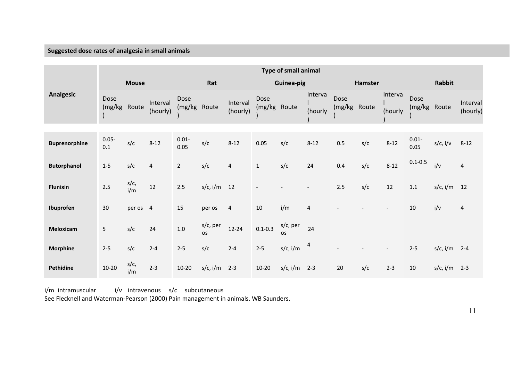### Suggested dose rates of analgesia in small animals

|                      |                 |                |                      |                  |                       |                      | <b>Type of small animal</b> |                       |                    |                |       |                    |                  |                 |                      |  |
|----------------------|-----------------|----------------|----------------------|------------------|-----------------------|----------------------|-----------------------------|-----------------------|--------------------|----------------|-------|--------------------|------------------|-----------------|----------------------|--|
| Analgesic            | <b>Mouse</b>    |                |                      | Rat              |                       |                      | <b>Guinea-pig</b>           |                       |                    | Hamster        |       |                    |                  | <b>Rabbit</b>   |                      |  |
|                      | Dose            | (mg/kg Route   | Interval<br>(hourly) | Dose<br>(mg/kg   | Route                 | Interval<br>(hourly) | Dose<br>(mg/kg              | Route                 | Interva<br>(hourly | Dose<br>(mg/kg | Route | Interva<br>(hourly | Dose<br>(mg/kg   | Route           | Interval<br>(hourly) |  |
|                      |                 |                |                      |                  |                       |                      |                             |                       |                    |                |       |                    |                  |                 |                      |  |
| <b>Buprenorphine</b> | $0.05 -$<br>0.1 | s/c            | $8 - 12$             | $0.01 -$<br>0.05 | s/c                   | $8 - 12$             | 0.05                        | s/c                   | $8 - 12$           | 0.5            | s/c   | $8-12$             | $0.01 -$<br>0.05 | $s/c$ , i/v     | $8 - 12$             |  |
| <b>Butorphanol</b>   | $1-5$           | s/c            | 4                    | $\overline{2}$   | s/c                   | 4                    | $1\,$                       | s/c                   | 24                 | 0.4            | s/c   | $8 - 12$           | $0.1 - 0.5$      | i/v             | 4                    |  |
| <b>Flunixin</b>      | $2.5\,$         | s/c,<br>i/m    | $12\,$               | $2.5$            | $s/c$ , i/m           | 12                   |                             |                       |                    | 2.5            | s/c   | 12                 | $1.1\,$          | $s/c$ , i/m     | 12                   |  |
| Ibuprofen            | 30              | per os 4       |                      | 15               | per os                | 4                    | 10                          | i/m                   | 4                  |                |       |                    | 10               | i/v             | 4                    |  |
| Meloxicam            | 5               | s/c            | 24                   | $1.0\,$          | s/c, per<br><b>OS</b> | $12 - 24$            | $0.1 - 0.3$                 | s/c, per<br><b>OS</b> | 24                 |                |       |                    |                  |                 |                      |  |
| <b>Morphine</b>      | $2 - 5$         | s/c            | $2 - 4$              | $2 - 5$          | s/c                   | $2 - 4$              | $2 - 5$                     | $s/c$ , i/m           | 4                  |                |       |                    | $2 - 5$          | $s/c$ , i/m 2-4 |                      |  |
| Pethidine            | $10 - 20$       | $s/c$ ,<br>i/m | $2 - 3$              | $10 - 20$        | $s/c$ , i/m           | $2 - 3$              | $10 - 20$                   | $s/c$ , i/m           | $2 - 3$            | $20\,$         | s/c   | $2 - 3$            | 10               | $s/c$ , i/m     | $2 - 3$              |  |

i/m intramuscular i/v intravenous s/c subcutaneous

See Flecknell and Waterman-Pearson (2000) Pain management in animals. WB Saunders.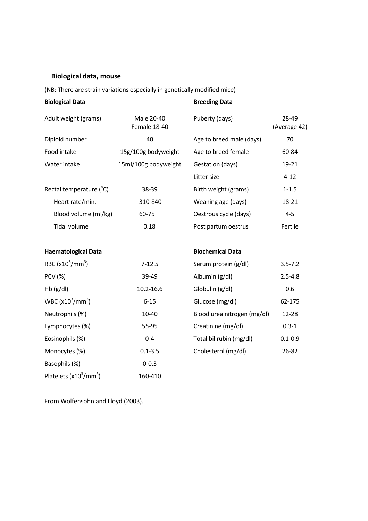## Biological data, mouse

(NB: There are strain variations especially in genetically modified mice)

| <b>Biological Data</b>                 |                            | <b>Breeding Data</b>        |                       |
|----------------------------------------|----------------------------|-----------------------------|-----------------------|
| Adult weight (grams)                   | Male 20-40<br>Female 18-40 | Puberty (days)              | 28-49<br>(Average 42) |
| Diploid number                         | 40                         | Age to breed male (days)    | 70                    |
| Food intake                            | 15g/100g bodyweight        | Age to breed female         | 60-84                 |
| Water intake                           | 15ml/100g bodyweight       | Gestation (days)            | 19-21                 |
|                                        |                            | Litter size                 | $4 - 12$              |
| Rectal temperature (°C)                | 38-39                      | Birth weight (grams)        | $1 - 1.5$             |
| Heart rate/min.                        | 310-840                    | Weaning age (days)          | 18-21                 |
| Blood volume (ml/kg)                   | 60-75                      | Oestrous cycle (days)       | $4 - 5$               |
| Tidal volume                           | 0.18                       | Post partum oestrus         | Fertile               |
|                                        |                            |                             |                       |
| <b>Haematological Data</b>             |                            | <b>Biochemical Data</b>     |                       |
| RBC ( $x10^6$ /mm <sup>3</sup> )       | $7 - 12.5$                 | Serum protein (g/dl)        | $3.5 - 7.2$           |
| <b>PCV (%)</b>                         | 39-49                      | Albumin (g/dl)              | $2.5 - 4.8$           |
| $Hb$ ( $g/dl$ )                        | 10.2-16.6                  | Globulin (g/dl)             | 0.6                   |
| WBC ( $x10^3$ /mm <sup>3</sup> )       | $6 - 15$                   | Glucose (mg/dl)             | 62-175                |
| Neutrophils (%)                        | 10-40                      | Blood urea nitrogen (mg/dl) | 12-28                 |
| Lymphocytes (%)                        | 55-95                      | Creatinine (mg/dl)          | $0.3 - 1$             |
| Eosinophils (%)                        | $0 - 4$                    | Total bilirubin (mg/dl)     | $0.1 - 0.9$           |
| Monocytes (%)                          | $0.1 - 3.5$                | Cholesterol (mg/dl)         | 26-82                 |
| Basophils (%)                          | $0 - 0.3$                  |                             |                       |
| Platelets ( $x10^3$ /mm <sup>3</sup> ) | 160-410                    |                             |                       |

From Wolfensohn and Lloyd (2003).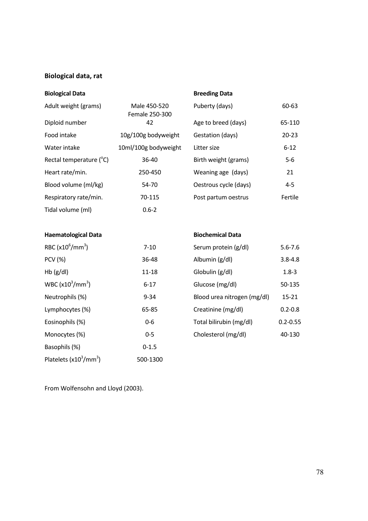#### Biological data, rat

# Biological Data **Breeding Data** Breeding Data Adult weight (grams) Male 450-520 Puberty (days) 60-63 Female 250-300 Diploid number 12 42 Age to breed (days) 65-110 Food intake 10g/100g bodyweight Gestation (days) 20-23 Water intake  $10 \text{ml}/100 \text{g}$  bodyweight Litter size 6-12 Rectal temperature  $(^{\circ}C)$ C) 36-40 Birth weight (grams) 5-6 Heart rate/min. 250-450 Weaning age (days) 21 Blood volume (ml/kg) 54-70 Oestrous cycle (days) 4-5 Respiratory rate/min.  $70-115$  Post partum oestrus Fertile Tidal volume (ml) 0.6-2 Haematological Data **Biochemical Data** Biochemical Data RBC (x10 $^6$ /mm $^3$ ) 7-10 Serum protein (g/dl) 5.6-7.6 PCV (%) 36-48 Albumin (g/dl) 3.8-4.8 Hb (g/dl) 11-18 Globulin (g/dl) 1.8-3

WBC (x10 $^3$ /mm $^3$ Neutrophils (%) 9-34 Blood urea nitrogen (mg/dl) 15-21 Lymphocytes (%) 65-85 Creatinine (mg/dl) 0.2-0.8 Eosinophils (%) 0-6 Total bilirubin (mg/dl) 0.2-0.55 Monocytes (%) 0-5 Cholesterol (mg/dl) 40-130 Basophils (%) 0-1.5 Platelets (x10<sup>3</sup>/mm<sup>3</sup> ) 500-1300

) 6-17 Glucose (mg/dl) 50-135

From Wolfensohn and Lloyd (2003).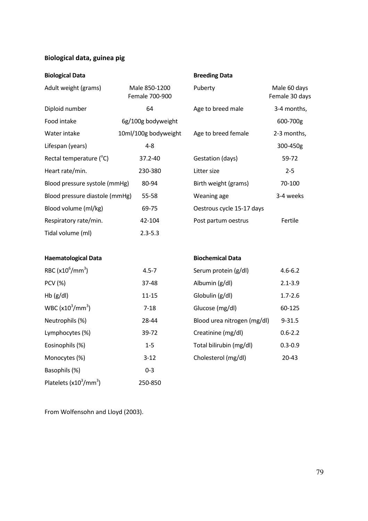## Biological data, guinea pig

| <b>Biological Data</b>                 |                                 | <b>Breeding Data</b>        |                                |
|----------------------------------------|---------------------------------|-----------------------------|--------------------------------|
| Adult weight (grams)                   | Male 850-1200<br>Female 700-900 | Puberty                     | Male 60 days<br>Female 30 days |
| Diploid number                         | 64                              | Age to breed male           | 3-4 months,                    |
| Food intake                            | 6g/100g bodyweight              |                             | 600-700g                       |
| Water intake                           | 10ml/100g bodyweight            | Age to breed female         | 2-3 months,                    |
| Lifespan (years)                       | $4 - 8$                         |                             | 300-450g                       |
| Rectal temperature (°C)                | 37.2-40                         | Gestation (days)            | 59-72                          |
| Heart rate/min.                        | 230-380                         | Litter size                 | $2 - 5$                        |
| Blood pressure systole (mmHg)          | 80-94                           | Birth weight (grams)        | 70-100                         |
| Blood pressure diastole (mmHg)         | 55-58                           | Weaning age                 | 3-4 weeks                      |
| Blood volume (ml/kg)                   | 69-75                           | Oestrous cycle 15-17 days   |                                |
| Respiratory rate/min.                  | 42-104                          | Post partum oestrus         | Fertile                        |
| Tidal volume (ml)                      | $2.3 - 5.3$                     |                             |                                |
|                                        |                                 |                             |                                |
| <b>Haematological Data</b>             |                                 | <b>Biochemical Data</b>     |                                |
| RBC ( $x10^6$ /mm <sup>3</sup> )       | $4.5 - 7$                       | Serum protein (g/dl)        | $4.6 - 6.2$                    |
| <b>PCV (%)</b>                         | 37-48                           | Albumin (g/dl)              | $2.1 - 3.9$                    |
| $Hb$ (g/dl)                            | $11 - 15$                       | Globulin (g/dl)             | $1.7 - 2.6$                    |
| WBC ( $x10^3$ /mm <sup>3</sup> )       | $7 - 18$                        | Glucose (mg/dl)             | 60-125                         |
| Neutrophils (%)                        | 28-44                           | Blood urea nitrogen (mg/dl) | $9 - 31.5$                     |
| Lymphocytes (%)                        | 39-72                           | Creatinine (mg/dl)          | $0.6 - 2.2$                    |
| Eosinophils (%)                        | $1 - 5$                         | Total bilirubin (mg/dl)     | $0.3 - 0.9$                    |
| Monocytes (%)                          | $3 - 12$                        | Cholesterol (mg/dl)         | $20 - 43$                      |
| Basophils (%)                          | $0 - 3$                         |                             |                                |
| Platelets ( $x10^3$ /mm <sup>3</sup> ) | 250-850                         |                             |                                |

From Wolfensohn and Lloyd (2003).